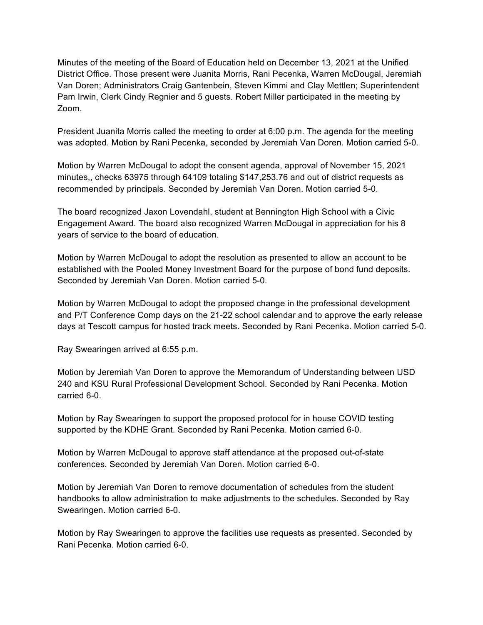Minutes of the meeting of the Board of Education held on December 13, 2021 at the Unified District Office. Those present were Juanita Morris, Rani Pecenka, Warren McDougal, Jeremiah Van Doren; Administrators Craig Gantenbein, Steven Kimmi and Clay Mettlen; Superintendent Pam Irwin, Clerk Cindy Regnier and 5 guests. Robert Miller participated in the meeting by Zoom.

President Juanita Morris called the meeting to order at 6:00 p.m. The agenda for the meeting was adopted. Motion by Rani Pecenka, seconded by Jeremiah Van Doren. Motion carried 5-0.

Motion by Warren McDougal to adopt the consent agenda, approval of November 15, 2021 minutes,, checks 63975 through 64109 totaling \$147,253.76 and out of district requests as recommended by principals. Seconded by Jeremiah Van Doren. Motion carried 5-0.

The board recognized Jaxon Lovendahl, student at Bennington High School with a Civic Engagement Award. The board also recognized Warren McDougal in appreciation for his 8 years of service to the board of education.

Motion by Warren McDougal to adopt the resolution as presented to allow an account to be established with the Pooled Money Investment Board for the purpose of bond fund deposits. Seconded by Jeremiah Van Doren. Motion carried 5-0.

Motion by Warren McDougal to adopt the proposed change in the professional development and P/T Conference Comp days on the 21-22 school calendar and to approve the early release days at Tescott campus for hosted track meets. Seconded by Rani Pecenka. Motion carried 5-0.

Ray Swearingen arrived at 6:55 p.m.

Motion by Jeremiah Van Doren to approve the Memorandum of Understanding between USD 240 and KSU Rural Professional Development School. Seconded by Rani Pecenka. Motion carried 6-0.

Motion by Ray Swearingen to support the proposed protocol for in house COVID testing supported by the KDHE Grant. Seconded by Rani Pecenka. Motion carried 6-0.

Motion by Warren McDougal to approve staff attendance at the proposed out-of-state conferences. Seconded by Jeremiah Van Doren. Motion carried 6-0.

Motion by Jeremiah Van Doren to remove documentation of schedules from the student handbooks to allow administration to make adjustments to the schedules. Seconded by Ray Swearingen. Motion carried 6-0.

Motion by Ray Swearingen to approve the facilities use requests as presented. Seconded by Rani Pecenka. Motion carried 6-0.